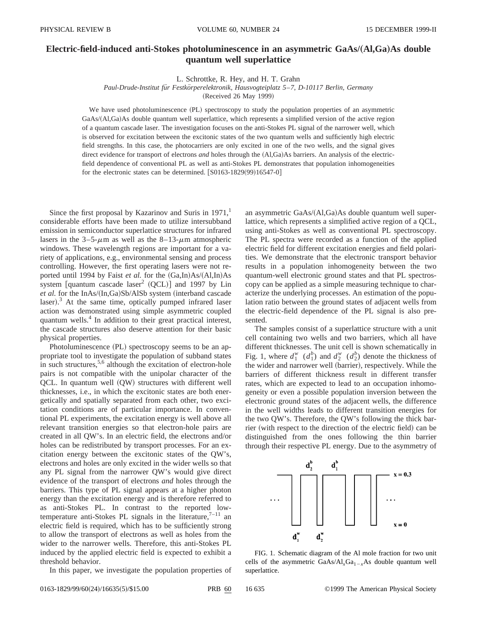## **Electric-field-induced anti-Stokes photoluminescence in an asymmetric GaAs/(Al,Ga)As double quantum well superlattice**

L. Schrottke, R. Hey, and H. T. Grahn

*Paul-Drude-Institut fu¨r Festko¨rperelektronik, Hausvogteiplatz 5*–*7, D-10117 Berlin, Germany*

(Received 26 May 1999)

We have used photoluminescence (PL) spectroscopy to study the population properties of an asymmetric GaAs/(Al,Ga)As double quantum well superlattice, which represents a simplified version of the active region of a quantum cascade laser. The investigation focuses on the anti-Stokes PL signal of the narrower well, which is observed for excitation between the excitonic states of the two quantum wells and sufficiently high electric field strengths. In this case, the photocarriers are only excited in one of the two wells, and the signal gives direct evidence for transport of electrons *and* holes through the (Al,Ga)As barriers. An analysis of the electricfield dependence of conventional PL as well as anti-Stokes PL demonstrates that population inhomogeneities for the electronic states can be determined.  $[$0163-1829(99)16547-0]$ 

Since the first proposal by Kazarinov and Suris in  $1971<sup>1</sup>$ considerable efforts have been made to utilize intersubband emission in semiconductor superlattice structures for infrared lasers in the 3–5- $\mu$ m as well as the 8–13- $\mu$ m atmospheric windows. These wavelength regions are important for a variety of applications, e.g., environmental sensing and process controlling. However, the first operating lasers were not reported until 1994 by Faist *et al.* for the  $(Ga,In)As/(A1,In)As$ system [quantum cascade laser<sup>2</sup> (QCL)] and 1997 by Lin *et al.* for the InAs/(In,Ga)Sb/AlSb system (interband cascade laser). $3$  At the same time, optically pumped infrared laser action was demonstrated using simple asymmetric coupled quantum wells.<sup>4</sup> In addition to their great practical interest, the cascade structures also deserve attention for their basic physical properties.

Photoluminescence (PL) spectroscopy seems to be an appropriate tool to investigate the population of subband states in such structures,  $5,6$  although the excitation of electron-hole pairs is not compatible with the unipolar character of the  $QCL.$  In quantum well  $(QW)$  structures with different well thicknesses, i.e., in which the excitonic states are both energetically and spatially separated from each other, two excitation conditions are of particular importance. In conventional PL experiments, the excitation energy is well above all relevant transition energies so that electron-hole pairs are created in all QW's. In an electric field, the electrons and/or holes can be redistributed by transport processes. For an excitation energy between the excitonic states of the QW's, electrons and holes are only excited in the wider wells so that any PL signal from the narrower QW's would give direct evidence of the transport of electrons *and* holes through the barriers. This type of PL signal appears at a higher photon energy than the excitation energy and is therefore referred to as anti-Stokes PL. In contrast to the reported lowtemperature anti-Stokes PL signals in the literature,  $7-11$  an electric field is required, which has to be sufficiently strong to allow the transport of electrons as well as holes from the wider to the narrower wells. Therefore, this anti-Stokes PL induced by the applied electric field is expected to exhibit a threshold behavior.

In this paper, we investigate the population properties of

an asymmetric  $GaAs/(A1,Ga)As$  double quantum well superlattice, which represents a simplified active region of a QCL, using anti-Stokes as well as conventional PL spectroscopy. The PL spectra were recorded as a function of the applied electric field for different excitation energies and field polarities. We demonstrate that the electronic transport behavior results in a population inhomogeneity between the two quantum-well electronic ground states and that PL spectroscopy can be applied as a simple measuring technique to characterize the underlying processes. An estimation of the population ratio between the ground states of adjacent wells from the electric-field dependence of the PL signal is also presented.

The samples consist of a superlattice structure with a unit cell containing two wells and two barriers, which all have different thicknesses. The unit cell is shown schematically in Fig. 1, where  $d_1^w$  ( $d_1^b$ ) and  $d_2^w$  ( $d_2^b$ ) denote the thickness of the wider and narrower well (barrier), respectively. While the barriers of different thickness result in different transfer rates, which are expected to lead to an occupation inhomogeneity or even a possible population inversion between the electronic ground states of the adjacent wells, the difference in the well widths leads to different transition energies for the two QW's. Therefore, the QW's following the thick barrier (with respect to the direction of the electric field) can be distinguished from the ones following the thin barrier through their respective PL energy. Due to the asymmetry of



FIG. 1. Schematic diagram of the Al mole fraction for two unit cells of the asymmetric  $GaAs/Al<sub>x</sub>Ga<sub>1-x</sub>As$  double quantum well superlattice.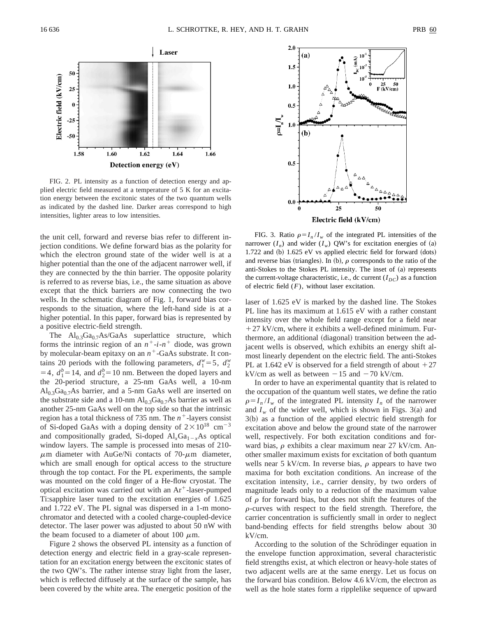

FIG. 2. PL intensity as a function of detection energy and applied electric field measured at a temperature of 5 K for an excitation energy between the excitonic states of the two quantum wells as indicated by the dashed line. Darker areas correspond to high intensities, lighter areas to low intensities.

the unit cell, forward and reverse bias refer to different injection conditions. We define forward bias as the polarity for which the electron ground state of the wider well is at a higher potential than the one of the adjacent narrower well, if they are connected by the thin barrier. The opposite polarity is referred to as reverse bias, i.e., the same situation as above except that the thick barriers are now connecting the two wells. In the schematic diagram of Fig. 1, forward bias corresponds to the situation, where the left-hand side is at a higher potential. In this paper, forward bias is represented by a positive electric-field strength.

The  $Al_{0.3}Ga_{0.7}As/GaAs$  superlattice structure, which forms the intrinsic region of an  $n^+$ -*i*- $n^+$  diode, was grown by molecular-beam epitaxy on an  $n^+$ -GaAs substrate. It contains 20 periods with the following parameters,  $d_1^w = 5$ ,  $d_2^w$  $=$  4,  $d_1^b$  = 14, and  $d_2^b$  = 10 nm. Between the doped layers and the 20-period structure, a 25-nm GaAs well, a 10-nm  $\text{Al}_{0.3}\text{Ga}_{0.7}\text{As barrier, and a 5-nm GaAs well are inserted on}$ the substrate side and a 10-nm  $Al<sub>0.3</sub>Ga<sub>0.7</sub>As barrier as well as$ another 25-nm GaAs well on the top side so that the intrinsic region has a total thickness of 735 nm. The  $n^+$ -layers consist of Si-doped GaAs with a doping density of  $2\times10^{18}$  cm<sup>-3</sup> and compositionally graded, Si-doped  $AI_xGa_{1-x}As$  optical window layers. The sample is processed into mesas of 210-  $\mu$ m diameter with AuGe/Ni contacts of 70- $\mu$ m diameter, which are small enough for optical access to the structure through the top contact. For the PL experiments, the sample was mounted on the cold finger of a He-flow cryostat. The optical excitation was carried out with an  $Ar^+$ -laser-pumped Ti:sapphire laser tuned to the excitation energies of 1.625 and 1.722 eV. The PL signal was dispersed in a 1-m monochromator and detected with a cooled charge-coupled-device detector. The laser power was adjusted to about 50 nW with the beam focused to a diameter of about 100  $\mu$ m.

Figure 2 shows the observed PL intensity as a function of detection energy and electric field in a gray-scale representation for an excitation energy between the excitonic states of the two QW's. The rather intense stray light from the laser, which is reflected diffusely at the surface of the sample, has been covered by the white area. The energetic position of the



FIG. 3. Ratio  $\rho = I_n / I_w$  of the integrated PL intensities of the narrower  $(I_n)$  and wider  $(I_w)$  QW's for excitation energies of (a)  $1.722$  and (b)  $1.625$  eV vs applied electric field for forward (dots) and reverse bias (triangles). In (b),  $\rho$  corresponds to the ratio of the anti-Stokes to the Stokes PL intensity. The inset of  $(a)$  represents the current-voltage characteristic, i.e., dc current  $(I_{DC})$  as a function of electric field (*F*), without laser excitation.

laser of 1.625 eV is marked by the dashed line. The Stokes PL line has its maximum at 1.615 eV with a rather constant intensity over the whole field range except for a field near  $+27$  kV/cm, where it exhibits a well-defined minimum. Furthermore, an additional (diagonal) transition between the adjacent wells is observed, which exhibits an energy shift almost linearly dependent on the electric field. The anti-Stokes PL at 1.642 eV is observed for a field strength of about  $+27$ kV/cm as well as between  $-15$  and  $-70$  kV/cm.

In order to have an experimental quantity that is related to the occupation of the quantum well states, we define the ratio  $\rho = I_n / I_w$  of the integrated PL intensity  $I_n$  of the narrower and  $I_w$  of the wider well, which is shown in Figs. 3(a) and  $3(b)$  as a function of the applied electric field strength for excitation above and below the ground state of the narrower well, respectively. For both excitation conditions and forward bias,  $\rho$  exhibits a clear maximum near 27 kV/cm. Another smaller maximum exists for excitation of both quantum wells near 5 kV/cm. In reverse bias,  $\rho$  appears to have two maxima for both excitation conditions. An increase of the excitation intensity, i.e., carrier density, by two orders of magnitude leads only to a reduction of the maximum value of  $\rho$  for forward bias, but does not shift the features of the  $\rho$ -curves with respect to the field strength. Therefore, the carrier concentration is sufficiently small in order to neglect band-bending effects for field strengths below about 30 kV/cm.

According to the solution of the Schrödinger equation in the envelope function approximation, several characteristic field strengths exist, at which electron or heavy-hole states of two adjacent wells are at the same energy. Let us focus on the forward bias condition. Below 4.6 kV/cm, the electron as well as the hole states form a ripplelike sequence of upward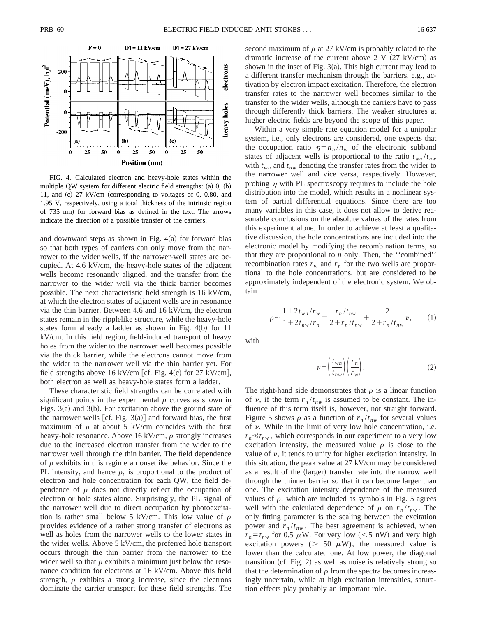

FIG. 4. Calculated electron and heavy-hole states within the multiple QW system for different electric field strengths:  $(a)$   $(0, (b)$ 11, and  $(c)$  27 kV/cm (corresponding to voltages of 0, 0.80, and 1.95 V, respectively, using a total thickness of the intrinsic region of 735 nm) for forward bias as defined in the text. The arrows indicate the direction of a possible transfer of the carriers.

and downward steps as shown in Fig.  $4(a)$  for forward bias so that both types of carriers can only move from the narrower to the wider wells, if the narrower-well states are occupied. At 4.6 kV/cm, the heavy-hole states of the adjacent wells become resonantly aligned, and the transfer from the narrower to the wider well via the thick barrier becomes possible. The next characteristic field strength is 16 kV/cm, at which the electron states of adjacent wells are in resonance via the thin barrier. Between 4.6 and 16 kV/cm, the electron states remain in the ripplelike structure, while the heavy-hole states form already a ladder as shown in Fig.  $4(b)$  for 11 kV/cm. In this field region, field-induced transport of heavy holes from the wider to the narrower well becomes possible via the thick barrier, while the electrons cannot move from the wider to the narrower well via the thin barrier yet. For field strengths above 16 kV/cm [cf. Fig. 4(c) for 27 kV/cm], both electron as well as heavy-hole states form a ladder.

These characteristic field strengths can be correlated with significant points in the experimental  $\rho$  curves as shown in Figs.  $3(a)$  and  $3(b)$ . For excitation above the ground state of the narrower wells [cf. Fig.  $3(a)$ ] and forward bias, the first maximum of  $\rho$  at about 5 kV/cm coincides with the first heavy-hole resonance. Above 16 kV/cm,  $\rho$  strongly increases due to the increased electron transfer from the wider to the narrower well through the thin barrier. The field dependence of  $\rho$  exhibits in this regime an onsetlike behavior. Since the PL intensity, and hence  $\rho$ , is proportional to the product of electron and hole concentration for each QW, the field dependence of  $\rho$  does not directly reflect the occupation of electron or hole states alone. Surprisingly, the PL signal of the narrower well due to direct occupation by photoexcitation is rather small below 5 kV/cm. This low value of  $\rho$ provides evidence of a rather strong transfer of electrons as well as holes from the narrower wells to the lower states in the wider wells. Above 5 kV/cm, the preferred hole transport occurs through the thin barrier from the narrower to the wider well so that  $\rho$  exhibits a minimum just below the resonance condition for electrons at 16 kV/cm. Above this field strength,  $\rho$  exhibits a strong increase, since the electrons dominate the carrier transport for these field strengths. The

second maximum of  $\rho$  at 27 kV/cm is probably related to the dramatic increase of the current above  $2 V (27 kV/cm)$  as shown in the inset of Fig.  $3(a)$ . This high current may lead to a different transfer mechanism through the barriers, e.g., activation by electron impact excitation. Therefore, the electron transfer rates to the narrower well becomes similar to the transfer to the wider wells, although the carriers have to pass through differently thick barriers. The weaker structures at higher electric fields are beyond the scope of this paper.

Within a very simple rate equation model for a unipolar system, i.e., only electrons are considered, one expects that the occupation ratio  $\eta = n_n / n_w$  of the electronic subband states of adjacent wells is proportional to the ratio  $t_{wn}/t_{nw}$ with  $t_{wn}$  and  $t_{nw}$  denoting the transfer rates from the wider to the narrower well and vice versa, respectively. However, probing  $\eta$  with PL spectroscopy requires to include the hole distribution into the model, which results in a nonlinear system of partial differential equations. Since there are too many variables in this case, it does not allow to derive reasonable conclusions on the absolute values of the rates from this experiment alone. In order to achieve at least a qualitative discussion, the hole concentrations are included into the electronic model by modifying the recombination terms, so that they are proportional to *n* only. Then, the ''combined'' recombination rates  $r_w$  and  $r_n$  for the two wells are proportional to the hole concentrations, but are considered to be approximately independent of the electronic system. We obtain

$$
\rho \sim \frac{1 + 2t_{wn}/r_w}{1 + 2t_{nw}/r_n} = \frac{r_n/t_{nw}}{2 + r_n/t_{nw}} + \frac{2}{2 + r_n/t_{nw}} \nu,
$$
 (1)

with

$$
\nu = \left(\frac{t_{wn}}{t_{nw}}\right) \left(\frac{r_n}{r_w}\right). \tag{2}
$$

The right-hand side demonstrates that  $\rho$  is a linear function of  $\nu$ , if the term  $r_n / t_{nw}$  is assumed to be constant. The influence of this term itself is, however, not straight forward. Figure 5 shows  $\rho$  as a function of  $r_n / t_{nw}$  for several values of  $\nu$ . While in the limit of very low hole concentration, i.e.  $r_n \ll t_{nw}$ , which corresponds in our experiment to a very low excitation intensity, the measured value  $\rho$  is close to the value of  $\nu$ , it tends to unity for higher excitation intensity. In this situation, the peak value at 27 kV/cm may be considered as a result of the (larger) transfer rate into the narrow well through the thinner barrier so that it can become larger than one. The excitation intensity dependence of the measured values of  $\rho$ , which are included as symbols in Fig. 5 agrees well with the calculated dependence of  $\rho$  on  $r_n/t_{nw}$ . The only fitting parameter is the scaling between the excitation power and  $r_n/t_{nw}$ . The best agreement is achieved, when  $r_n = t_{nw}$  for 0.5  $\mu$ W. For very low (<5 nW) and very high excitation powers ( $> 50 \mu$ W), the measured value is lower than the calculated one. At low power, the diagonal transition  $(cf. Fig. 2)$  as well as noise is relatively strong so that the determination of  $\rho$  from the spectra becomes increasingly uncertain, while at high excitation intensities, saturation effects play probably an important role.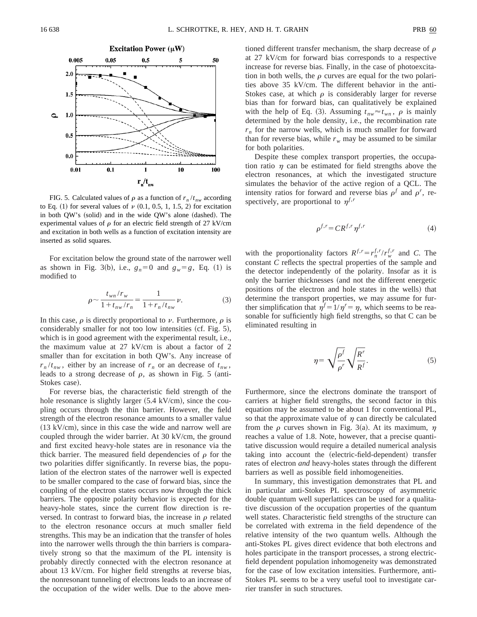

FIG. 5. Calculated values of  $\rho$  as a function of  $r_n/t_{nw}$  according to Eq. (1) for several values of  $\nu$  (0.1, 0.5, 1, 1.5, 2) for excitation in both QW's (solid) and in the wide QW's alone (dashed). The experimental values of  $\rho$  for an electric field strength of 27 kV/cm and excitation in both wells as a function of excitation intensity are inserted as solid squares.

For excitation below the ground state of the narrower well as shown in Fig. 3(b), i.e.,  $g_n=0$  and  $g_w=g$ , Eq. (1) is modified to

$$
\rho \sim \frac{t_{wn}/r_w}{1 + t_{nw}/r_n} = \frac{1}{1 + r_n/t_{nw}} \nu.
$$
\n(3)

In this case,  $\rho$  is directly proportional to  $\nu$ . Furthermore,  $\rho$  is considerably smaller for not too low intensities  $(cf. Fig. 5)$ , which is in good agreement with the experimental result, i.e., the maximum value at 27 kV/cm is about a factor of 2 smaller than for excitation in both QW's. Any increase of  $r_n/t_{nw}$ , either by an increase of  $r_n$  or an decrease of  $t_{nw}$ , leads to a strong decrease of  $\rho$ , as shown in Fig. 5 (anti-Stokes case).

For reverse bias, the characteristic field strength of the hole resonance is slightly larger  $(5.4 \text{ kV/cm})$ , since the coupling occurs through the thin barrier. However, the field strength of the electron resonance amounts to a smaller value  $(13 \text{ kV/cm})$ , since in this case the wide and narrow well are coupled through the wider barrier. At 30 kV/cm, the ground and first excited heavy-hole states are in resonance via the thick barrier. The measured field dependencies of  $\rho$  for the two polarities differ significantly. In reverse bias, the population of the electron states of the narrower well is expected to be smaller compared to the case of forward bias, since the coupling of the electron states occurs now through the thick barriers. The opposite polarity behavior is expected for the heavy-hole states, since the current flow direction is reversed. In contrast to forward bias, the increase in  $\rho$  related to the electron resonance occurs at much smaller field strengths. This may be an indication that the transfer of holes into the narrower wells through the thin barriers is comparatively strong so that the maximum of the PL intensity is probably directly connected with the electron resonance at about 13 kV/cm. For higher field strengths at reverse bias, the nonresonant tunneling of electrons leads to an increase of the occupation of the wider wells. Due to the above mentioned different transfer mechanism, the sharp decrease of  $\rho$ at 27 kV/cm for forward bias corresponds to a respective increase for reverse bias. Finally, in the case of photoexcitation in both wells, the  $\rho$  curves are equal for the two polarities above 35 kV/cm. The different behavior in the anti-Stokes case, at which  $\rho$  is considerably larger for reverse bias than for forward bias, can qualitatively be explained with the help of Eq. (3). Assuming  $t_{nw} \approx t_{wn}$ ,  $\rho$  is mainly determined by the hole density, i.e., the recombination rate  $r_n$  for the narrow wells, which is much smaller for forward than for reverse bias, while  $r_w$  may be assumed to be similar for both polarities.

Despite these complex transport properties, the occupation ratio  $\eta$  can be estimated for field strengths above the electron resonances, at which the investigated structure simulates the behavior of the active region of a QCL. The intensity ratios for forward and reverse bias  $\rho^f$  and  $\rho^r$ , respectively, are proportional to  $\eta^{f,r}$ 

$$
\rho^{f,r} = CR^{f,r} \eta^{f,r} \tag{4}
$$

with the proportionality factors  $R^{f,r} = r_n^{f,r}/r_w^{f,r}$  and *C*. The constant *C* reflects the spectral properties of the sample and the detector independently of the polarity. Insofar as it is only the barrier thicknesses (and not the different energetic positions of the electron and hole states in the wells) that determine the transport properties, we may assume for further simplification that  $\eta^f = 1/\eta^r = \eta$ , which seems to be reasonable for sufficiently high field strengths, so that C can be eliminated resulting in

$$
\eta = \sqrt{\frac{\rho^f}{\rho^r}} \sqrt{\frac{R^r}{R^f}}.\tag{5}
$$

Furthermore, since the electrons dominate the transport of carriers at higher field strengths, the second factor in this equation may be assumed to be about 1 for conventional PL, so that the approximate value of  $\eta$  can directly be calculated from the  $\rho$  curves shown in Fig. 3(a). At its maximum,  $\eta$ reaches a value of 1.8. Note, however, that a precise quantitative discussion would require a detailed numerical analysis taking into account the (electric-field-dependent) transfer rates of electron *and* heavy-holes states through the different barriers as well as possible field inhomogeneities.

In summary, this investigation demonstrates that PL and in particular anti-Stokes PL spectroscopy of asymmetric double quantum well superlattices can be used for a qualitative discussion of the occupation properties of the quantum well states. Characteristic field strengths of the structure can be correlated with extrema in the field dependence of the relative intensity of the two quantum wells. Although the anti-Stokes PL gives direct evidence that both electrons and holes participate in the transport processes, a strong electricfield dependent population inhomogeneity was demonstrated for the case of low excitation intensities. Furthermore, anti-Stokes PL seems to be a very useful tool to investigate carrier transfer in such structures.